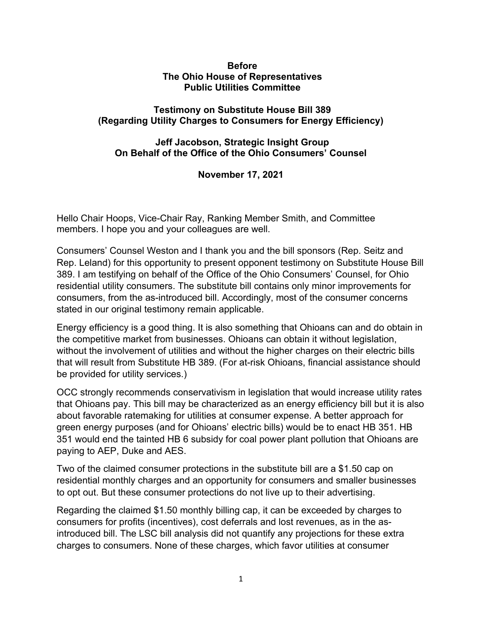## **Before The Ohio House of Representatives Public Utilities Committee**

## **Testimony on Substitute House Bill 389 (Regarding Utility Charges to Consumers for Energy Efficiency)**

## **Jeff Jacobson, Strategic Insight Group On Behalf of the Office of the Ohio Consumers' Counsel**

**November 17, 2021**

Hello Chair Hoops, Vice-Chair Ray, Ranking Member Smith, and Committee members. I hope you and your colleagues are well.

Consumers' Counsel Weston and I thank you and the bill sponsors (Rep. Seitz and Rep. Leland) for this opportunity to present opponent testimony on Substitute House Bill 389. I am testifying on behalf of the Office of the Ohio Consumers' Counsel, for Ohio residential utility consumers. The substitute bill contains only minor improvements for consumers, from the as-introduced bill. Accordingly, most of the consumer concerns stated in our original testimony remain applicable.

Energy efficiency is a good thing. It is also something that Ohioans can and do obtain in the competitive market from businesses. Ohioans can obtain it without legislation, without the involvement of utilities and without the higher charges on their electric bills that will result from Substitute HB 389. (For at-risk Ohioans, financial assistance should be provided for utility services.)

OCC strongly recommends conservativism in legislation that would increase utility rates that Ohioans pay. This bill may be characterized as an energy efficiency bill but it is also about favorable ratemaking for utilities at consumer expense. A better approach for green energy purposes (and for Ohioans' electric bills) would be to enact HB 351. HB 351 would end the tainted HB 6 subsidy for coal power plant pollution that Ohioans are paying to AEP, Duke and AES.

Two of the claimed consumer protections in the substitute bill are a \$1.50 cap on residential monthly charges and an opportunity for consumers and smaller businesses to opt out. But these consumer protections do not live up to their advertising.

Regarding the claimed \$1.50 monthly billing cap, it can be exceeded by charges to consumers for profits (incentives), cost deferrals and lost revenues, as in the asintroduced bill. The LSC bill analysis did not quantify any projections for these extra charges to consumers. None of these charges, which favor utilities at consumer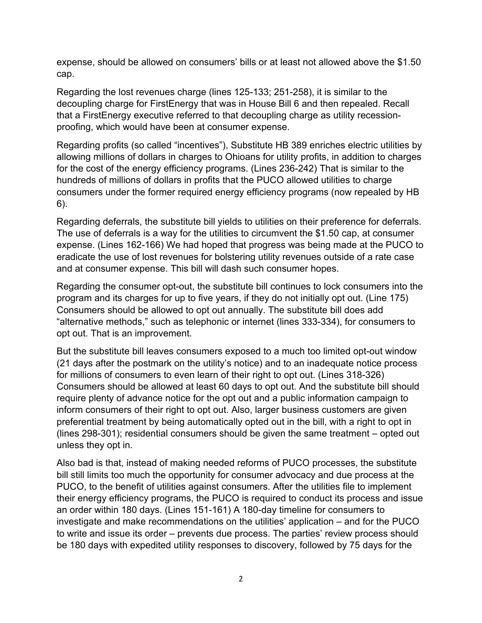expense, should be allowed on consumers' bills or at least not allowed above the \$1.50 cap.

Regarding the lost revenues charge (lines 125-133; 251-258), it is similar to the decoupling charge for FirstEnergy that was in House Bill 6 and then repealed. Recall that a FirstEnergy executive referred to that decoupling charge as utility recessionproofing, which would have been at consumer expense.

Regarding profits (so called "incentives"), Substitute HB 389 enriches electric utilities by allowing millions of dollars in charges to Ohioans for utility profits, in addition to charges for the cost of the energy efficiency programs. (Lines 236-242) That is similar to the hundreds of millions of dollars in profits that the PUCO allowed utilities to charge consumers under the former required energy efficiency programs (now repealed by HB 6).

Regarding deferrals, the substitute bill yields to utilities on their preference for deferrals. The use of deferrals is a way for the utilities to circumvent the \$1.50 cap, at consumer expense. (Lines 162-166) We had hoped that progress was being made at the PUCO to eradicate the use of lost revenues for bolstering utility revenues outside of a rate case and at consumer expense. This bill will dash such consumer hopes.

Regarding the consumer opt-out, the substitute bill continues to lock consumers into the program and its charges for up to five years, if they do not initially opt out. (Line 175) Consumers should be allowed to opt out annually. The substitute bill does add "alternative methods," such as telephonic or internet (lines 333-334), for consumers to opt out. That is an improvement.

But the substitute bill leaves consumers exposed to a much too limited opt-out window (21 days after the postmark on the utility's notice) and to an inadequate notice process for millions of consumers to even learn of their right to opt out. (Lines 318-326) Consumers should be allowed at least 60 days to opt out. And the substitute bill should require plenty of advance notice for the opt out and a public information campaign to inform consumers of their right to opt out. Also, larger business customers are given preferential treatment by being automatically opted out in the bill, with a right to opt in (lines 298-301); residential consumers should be given the same treatment – opted out unless they opt in.

Also bad is that, instead of making needed reforms of PUCO processes, the substitute bill still limits too much the opportunity for consumer advocacy and due process at the PUCO, to the benefit of utilities against consumers. After the utilities file to implement their energy efficiency programs, the PUCO is required to conduct its process and issue an order within 180 days. (Lines 151-161) A 180-day timeline for consumers to investigate and make recommendations on the utilities' application – and for the PUCO to write and issue its order – prevents due process. The parties' review process should be 180 days with expedited utility responses to discovery, followed by 75 days for the